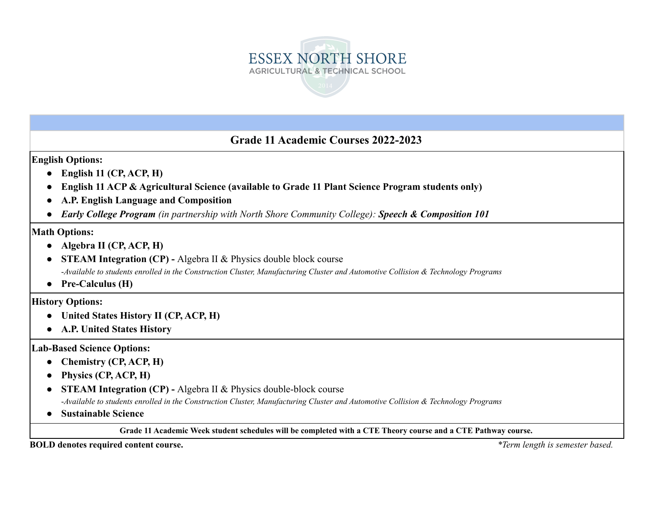

### **Grade 11 Academic Courses 2022-2023**

**English Options:**

- **● English 11 (CP, ACP, H)**
- **● English 11 ACP & Agricultural Science (available to Grade 11 Plant Science Program students only)**
- **● A.P. English Language and Composition**
- **●** *Early College Program (in partnership with North Shore Community College): Speech & Composition 101*

### **Math Options:**

- **● Algebra II (CP, ACP, H)**
- **● STEAM Integration (CP) -** Algebra II & Physics double block course -Available to students enrolled in the Construction Cluster, Manufacturing Cluster and Automotive Collision & Technology Programs
- **● Pre-Calculus (H)**

**History Options:**

- **● United States History II (CP, ACP, H)**
- **● A.P. United States History**

### **Lab-Based Science Options:**

- **● Chemistry (CP, ACP, H)**
- **● Physics (CP, ACP, H)**
- **● STEAM Integration (CP) -** Algebra II & Physics double-block course

-Available to students enrolled in the Construction Cluster, Manufacturing Cluster and Automotive Collision & Technology Programs

**● Sustainable Science**

Grade 11 Academic Week student schedules will be completed with a CTE Theory course and a CTE Pathway course.

**BOLD denotes required content course.** *\*Term length is semester based.*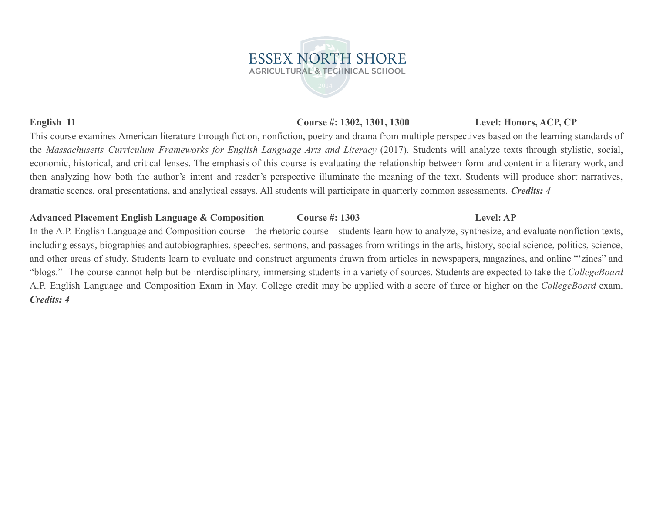### **English 11 Course #: 1302, 1301, 1300 Level: Honors, ACP, CP**

This course examines American literature through fiction, nonfiction, poetry and drama from multiple perspectives based on the learning standards of the *Massachusetts Curriculum Frameworks for English Language Arts and Literacy* (2017). Students will analyze texts through stylistic, social, economic, historical, and critical lenses. The emphasis of this course is evaluating the relationship between form and content in a literary work, and then analyzing how both the author's intent and reader's perspective illuminate the meaning of the text. Students will produce short narratives, dramatic scenes, oral presentations, and analytical essays. All students will participate in quarterly common assessments. *Credits: 4*

### **Advanced Placement English Language & Composition Course #: 1303 Level: AP**

In the A.P. English Language and Composition course—the rhetoric course—students learn how to analyze, synthesize, and evaluate nonfiction texts, including essays, biographies and autobiographies, speeches, sermons, and passages from writings in the arts, history, social science, politics, science, and other areas of study. Students learn to evaluate and construct arguments drawn from articles in newspapers, magazines, and online "'zines" and "blogs." The course cannot help but be interdisciplinary, immersing students in a variety of sources. Students are expected to take the *CollegeBoard* A.P. English Language and Composition Exam in May. College credit may be applied with a score of three or higher on the *CollegeBoard* exam. *Credits: 4*

# **ESSEX NORTH SHORE AGRICULTURAL & TECHNICAL SCHOOL**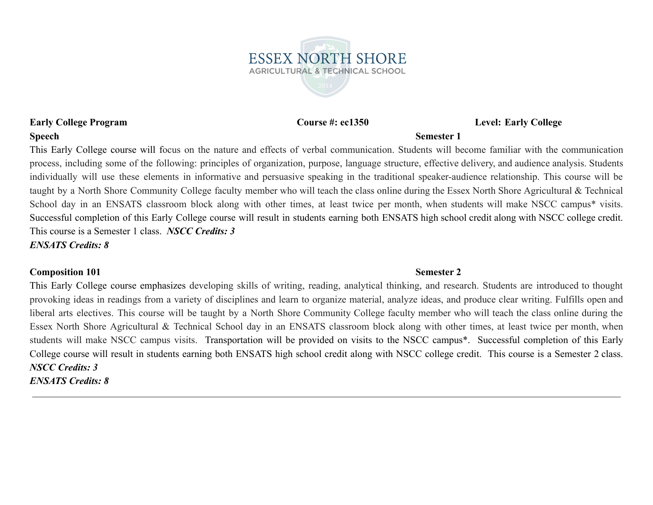**ESSEX NORTH SHORE AGRICULTURAL & TECHNICAL SCHOOL** 

### **Early College Program Course #: ec1350 Level: Early College**

### **Speech Semester 1**

This Early College course will focus on the nature and effects of verbal communication. Students will become familiar with the communication process, including some of the following: principles of organization, purpose, language structure, effective delivery, and audience analysis. Students individually will use these elements in informative and persuasive speaking in the traditional speaker-audience relationship. This course will be taught by a North Shore Community College faculty member who will teach the class online during the Essex North Shore Agricultural & Technical School day in an ENSATS classroom block along with other times, at least twice per month, when students will make NSCC campus<sup>\*</sup> visits. Successful completion of this Early College course will result in students earning both ENSATS high school credit along with NSCC college credit. This course is a Semester 1 class. *NSCC Credits: 3 ENSATS Credits: 8*

### **Composition 101 Semester 2**

This Early College course emphasizes developing skills of writing, reading, analytical thinking, and research. Students are introduced to thought provoking ideas in readings from a variety of disciplines and learn to organize material, analyze ideas, and produce clear writing. Fulfills open and liberal arts electives. This course will be taught by a North Shore Community College faculty member who will teach the class online during the Essex North Shore Agricultural & Technical School day in an ENSATS classroom block along with other times, at least twice per month, when students will make NSCC campus visits. Transportation will be provided on visits to the NSCC campus\*. Successful completion of this Early College course will result in students earning both ENSATS high school credit along with NSCC college credit. This course is a Semester 2 class. *NSCC Credits: 3 ENSATS Credits: 8*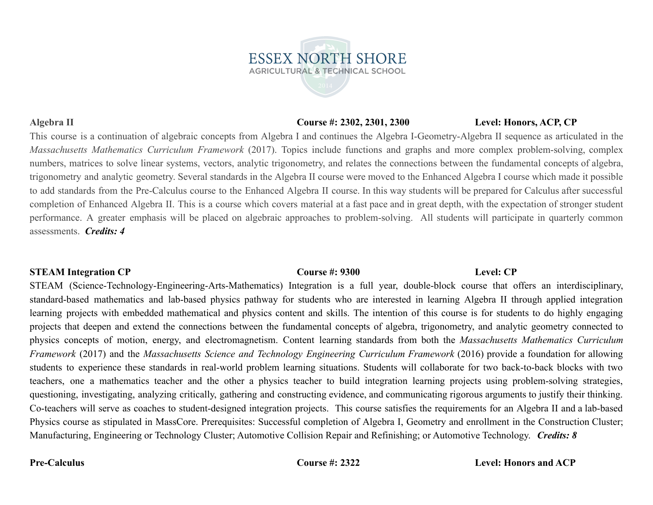### **Algebra II Course #: 2302, 2301, 2300 Level: Honors, ACP, CP**

This course is a continuation of algebraic concepts from Algebra I and continues the Algebra I-Geometry-Algebra II sequence as articulated in the *Massachusetts Mathematics Curriculum Framework* (2017). Topics include functions and graphs and more complex problem-solving, complex numbers, matrices to solve linear systems, vectors, analytic trigonometry, and relates the connections between the fundamental concepts of algebra, trigonometry and analytic geometry. Several standards in the Algebra II course were moved to the Enhanced Algebra I course which made it possible to add standards from the Pre-Calculus course to the Enhanced Algebra II course. In this way students will be prepared for Calculus after successful completion of Enhanced Algebra II. This is a course which covers material at a fast pace and in great depth, with the expectation of stronger student performance. A greater emphasis will be placed on algebraic approaches to problem-solving. All students will participate in quarterly common assessments. *Credits: 4*

**ESSEX NORTH SHORE AGRICULTURAL & TECHNICAL SCHOOL** 

### **STEAM Integration CP Course #: 9300 Level: CP**

STEAM (Science-Technology-Engineering-Arts-Mathematics) Integration is a full year, double-block course that offers an interdisciplinary, standard-based mathematics and lab-based physics pathway for students who are interested in learning Algebra II through applied integration learning projects with embedded mathematical and physics content and skills. The intention of this course is for students to do highly engaging projects that deepen and extend the connections between the fundamental concepts of algebra, trigonometry, and analytic geometry connected to physics concepts of motion, energy, and electromagnetism. Content learning standards from both the *Massachusetts Mathematics Curriculum Framework* (2017) and the *Massachusetts Science and Technology Engineering Curriculum Framework* (2016) provide a foundation for allowing students to experience these standards in real-world problem learning situations. Students will collaborate for two back-to-back blocks with two teachers, one a mathematics teacher and the other a physics teacher to build integration learning projects using problem-solving strategies, questioning, investigating, analyzing critically, gathering and constructing evidence, and communicating rigorous arguments to justify their thinking. Co-teachers will serve as coaches to student-designed integration projects. This course satisfies the requirements for an Algebra II and a lab-based Physics course as stipulated in MassCore. Prerequisites: Successful completion of Algebra I, Geometry and enrollment in the Construction Cluster; Manufacturing, Engineering or Technology Cluster; Automotive Collision Repair and Refinishing; or Automotive Technology. *Credits: 8*

### **Pre-Calculus Course #: 2322 Level: Honors and ACP**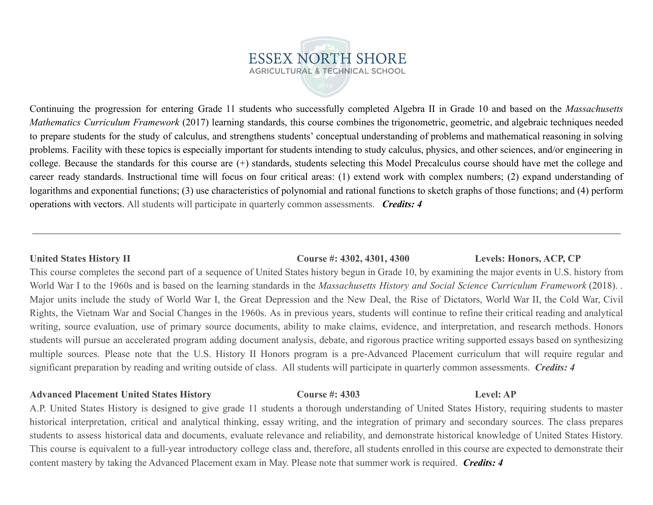## **ESSEX NORTH SHORE AGRICULTURAL & TECHNICAL SCHOOL**

Continuing the progression for entering Grade 11 students who successfully completed Algebra II in Grade 10 and based on the *Massachusetts Mathematics Curriculum Framework* (2017) learning standards, this course combines the trigonometric, geometric, and algebraic techniques needed to prepare students for the study of calculus, and strengthens students' conceptual understanding of problems and mathematical reasoning in solving problems. Facility with these topics is especially important for students intending to study calculus, physics, and other sciences, and/or engineering in college. Because the standards for this course are (+) standards, students selecting this Model Precalculus course should have met the college and career ready standards. Instructional time will focus on four critical areas: (1) extend work with complex numbers; (2) expand understanding of logarithms and exponential functions; (3) use characteristics of polynomial and rational functions to sketch graphs of those functions; and (4) perform operations with vectors. All students will participate in quarterly common assessments. *Credits: 4*

### **United States History II Course #: 4302, 4301, 4300 Levels: Honors, ACP, CP**

This course completes the second part of a sequence of United States history begun in Grade 10, by examining the major events in U.S. history from World War I to the 1960s and is based on the learning standards in the *Massachusetts History and Social Science Curriculum Framework* (2018). . Major units include the study of World War I, the Great Depression and the New Deal, the Rise of Dictators, World War II, the Cold War, Civil Rights, the Vietnam War and Social Changes in the 1960s. As in previous years, students will continue to refine their critical reading and analytical writing, source evaluation, use of primary source documents, ability to make claims, evidence, and interpretation, and research methods. Honors students will pursue an accelerated program adding document analysis, debate, and rigorous practice writing supported essays based on synthesizing multiple sources. Please note that the U.S. History II Honors program is a pre-Advanced Placement curriculum that will require regular and significant preparation by reading and writing outside of class. All students will participate in quarterly common assessments. *Credits: 4*

### **Advanced Placement United States History Course #: 4303 Level: AP**

A.P. United States History is designed to give grade 11 students a thorough understanding of United States History, requiring students to master historical interpretation, critical and analytical thinking, essay writing, and the integration of primary and secondary sources. The class prepares students to assess historical data and documents, evaluate relevance and reliability, and demonstrate historical knowledge of United States History. This course is equivalent to a full-year introductory college class and, therefore, all students enrolled in this course are expected to demonstrate their content mastery by taking the Advanced Placement exam in May. Please note that summer work is required. *Credits: 4*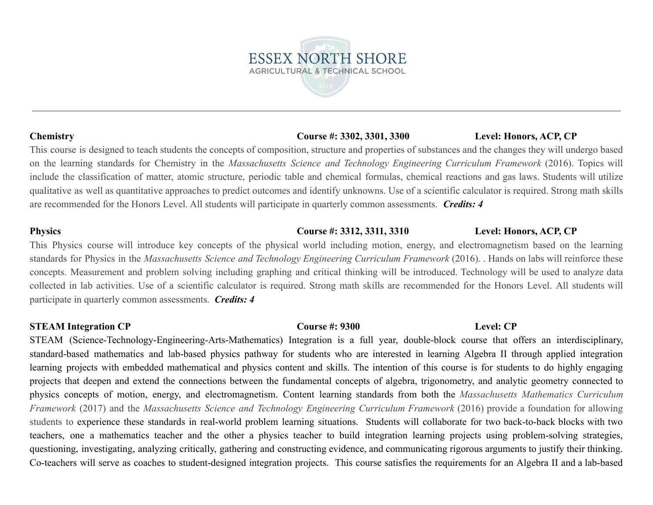### **Chemistry Course #: 3302, 3301, 3300 Level: Honors, ACP, CP**

This course is designed to teach students the concepts of composition, structure and properties of substances and the changes they will undergo based on the learning standards for Chemistry in the *Massachusetts Science and Technology Engineering Curriculum Framework* (2016). Topics will include the classification of matter, atomic structure, periodic table and chemical formulas, chemical reactions and gas laws. Students will utilize qualitative as well as quantitative approaches to predict outcomes and identify unknowns. Use of a scientific calculator is required. Strong math skills are recommended for the Honors Level. All students will participate in quarterly common assessments. *Credits: 4*

This Physics course will introduce key concepts of the physical world including motion, energy, and electromagnetism based on the learning standards for Physics in the *Massachusetts Science and Technology Engineering Curriculum Framework* (2016). . Hands on labs will reinforce these concepts. Measurement and problem solving including graphing and critical thinking will be introduced. Technology will be used to analyze data collected in lab activities. Use of a scientific calculator is required. Strong math skills are recommended for the Honors Level. All students will participate in quarterly common assessments. *Credits: 4*

### **STEAM Integration CP Course #: 9300 Level: CP**

STEAM (Science-Technology-Engineering-Arts-Mathematics) Integration is a full year, double-block course that offers an interdisciplinary, standard-based mathematics and lab-based physics pathway for students who are interested in learning Algebra II through applied integration learning projects with embedded mathematical and physics content and skills. The intention of this course is for students to do highly engaging projects that deepen and extend the connections between the fundamental concepts of algebra, trigonometry, and analytic geometry connected to physics concepts of motion, energy, and electromagnetism. Content learning standards from both the *Massachusetts Mathematics Curriculum Framework* (2017) and the *Massachusetts Science and Technology Engineering Curriculum Framework* (2016) provide a foundation for allowing students to experience these standards in real-world problem learning situations. Students will collaborate for two back-to-back blocks with two teachers, one a mathematics teacher and the other a physics teacher to build integration learning projects using problem-solving strategies, questioning, investigating, analyzing critically, gathering and constructing evidence, and communicating rigorous arguments to justify their thinking. Co-teachers will serve as coaches to student-designed integration projects. This course satisfies the requirements for an Algebra II and a lab-based



### **Physics Course #: 3312, 3311, 3310 Level: Honors, ACP, CP**